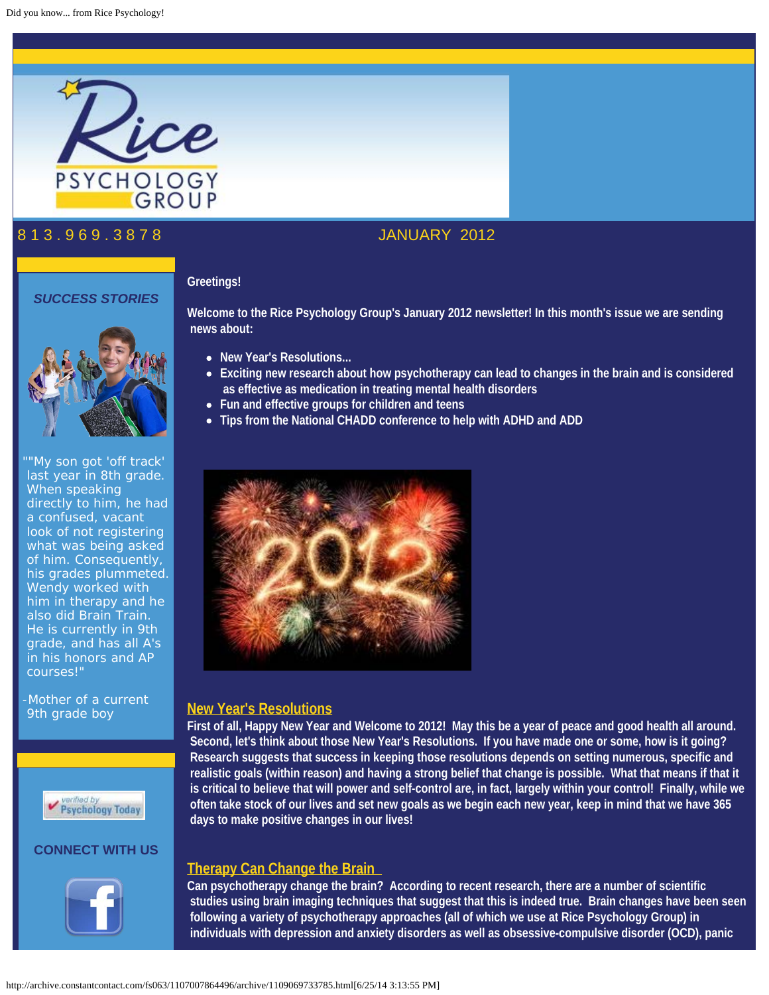

# 8 1 3 . 9 6 9 . 3 8 7 8 JANUARY 2012

## *SUCCESS STORIES*



"My son got 'off track' last year in 8th grade. When speaking directly to him, he had a confused, vacant look of not registering what was being asked of him. Consequently, his grades plummeted. Wendy worked with him in therapy and he also did Brain Train. He is currently in 9th grade, and has all A's in his honors and AP courses!"

-Mother of a current 9th grade boy



## **CONNECT WITH US**



**Welcome to the Rice Psychology Group's January 2012 newsletter! In this month's issue we are sending news about:**

**New Year's Resolutions...**

**Greetings!**

- **Exciting new research about how psychotherapy can lead to changes in the brain and is considered as effective as medication in treating mental health disorders**
- **Fun and effective groups for children and teens**
- **Tips from the National CHADD conference to help with ADHD and ADD**



## **New Year's Resolutions**

**First of all, Happy New Year and Welcome to 2012! May this be a year of peace and good health all around. Second, let's think about those New Year's Resolutions. If you have made one or some, how is it going? Research suggests that success in keeping those resolutions depends on setting numerous, specific and realistic goals (within reason) and having a strong belief that change is possible. What that means if that it is critical to believe that will power and self-control are, in fact, largely within your control! Finally, while we often take stock of our lives and set new goals as we begin each new year, keep in mind that we have 365 days to make positive changes in our lives!** 

## **Therapy Can Change the Brain**

**Can psychotherapy change the brain? According to recent research, there are a number of scientific studies using brain imaging techniques that suggest that this is indeed true. Brain changes have been seen following a variety of psychotherapy approaches (all of which we use at Rice Psychology Group) in individuals with depression and anxiety disorders as well as obsessive-compulsive disorder (OCD), panic**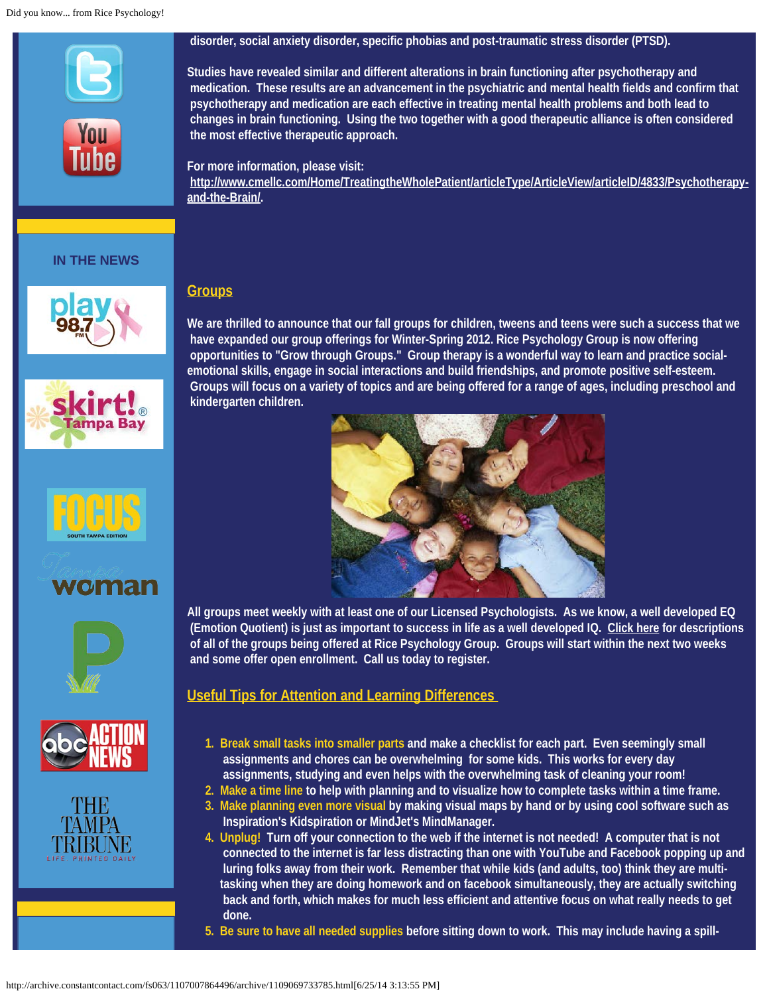#### Did you know... from Rice Psychology!



## **IN THE NEWS**















## **disorder, social anxiety disorder, specific phobias and post-traumatic stress disorder (PTSD).**

**Studies have revealed similar and different alterations in brain functioning after psychotherapy and medication. These results are an advancement in the psychiatric and mental health fields and confirm that psychotherapy and medication are each effective in treating mental health problems and both lead to changes in brain functioning. Using the two together with a good therapeutic alliance is often considered the most effective therapeutic approach.**

# **For more information, please visit:**

**[http://www.cmellc.com/Home/TreatingtheWholePatient/articleType/ArticleView/articleID/4833/Psychotherapy](http://bit.ly/yQddum)[and-the-Brain/](http://bit.ly/yQddum).**

# **Groups**

**We are thrilled to announce that our fall groups for children, tweens and teens were such a success that we have expanded our group offerings for Winter-Spring 2012. Rice Psychology Group is now offering opportunities to "Grow through Groups." Group therapy is a wonderful way to learn and practice socialemotional skills, engage in social interactions and build friendships, and promote positive self-esteem. Groups will focus on a variety of topics and are being offered for a range of ages, including preschool and kindergarten children.**



**All groups meet weekly with at least one of our Licensed Psychologists. As we know, a well developed EQ (Emotion Quotient) is just as important to success in life as a well developed IQ. [Click here](http://bit.ly/xQtBCX) for descriptions of all of the groups being offered at Rice Psychology Group. Groups will start within the next two weeks and some offer open enrollment. Call us today to register.** 

# **Useful Tips for Attention and Learning Differences**

- **1. Break small tasks into smaller parts and make a checklist for each part. Even seemingly small assignments and chores can be overwhelming for some kids. This works for every day assignments, studying and even helps with the overwhelming task of cleaning your room!**
- **2. Make a time line to help with planning and to visualize how to complete tasks within a time frame.**
- **3. Make planning even more visual by making visual maps by hand or by using cool software such as Inspiration's Kidspiration or MindJet's MindManager.**
- **4. Unplug! Turn off your connection to the web if the internet is not needed! A computer that is not connected to the internet is far less distracting than one with YouTube and Facebook popping up and luring folks away from their work. Remember that while kids (and adults, too) think they are multitasking when they are doing homework and on facebook simultaneously, they are actually switching back and forth, which makes for much less efficient and attentive focus on what really needs to get done.**
- **5. Be sure to have all needed supplies before sitting down to work. This may include having a spill-**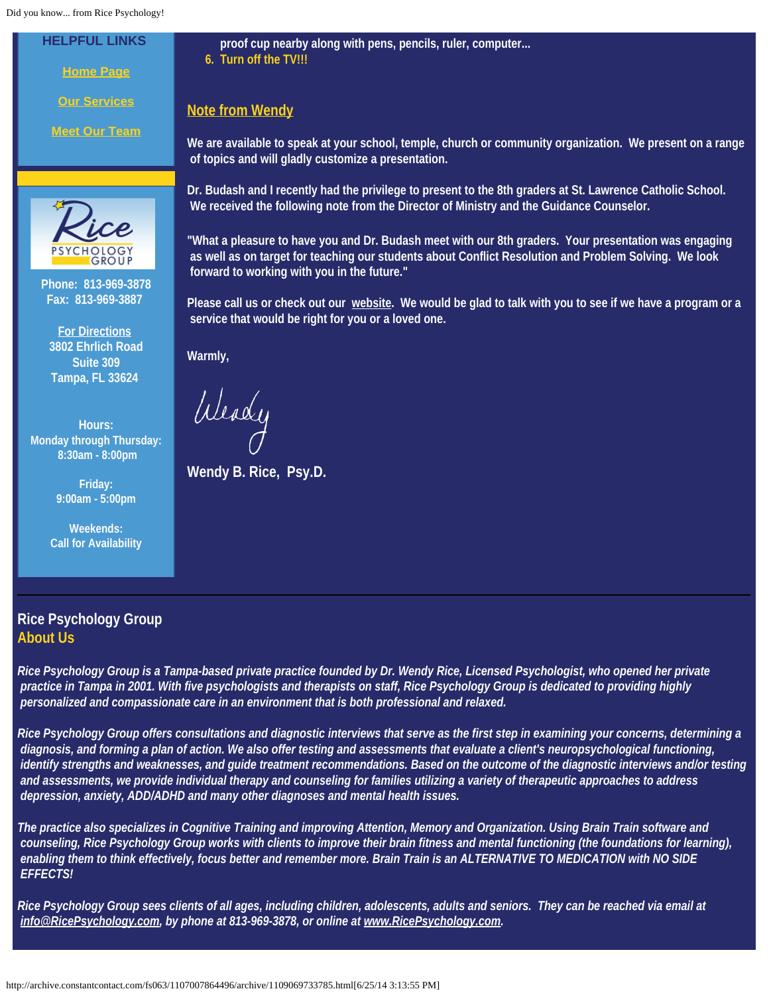Did you know... from Rice Psychology!

**HELPFUL LINKS**

**[Home Page](http://ricepsychology.com/)**

**[Our Services](http://ricepsychology.com/how.php)**

**[Meet Our Team](http://ricepsychology.com/who.php)**



**Phone: 813-969-3878 Fax: 813-969-3887**

**[For Directions](http://ricepsychology.com/location.php) 3802 Ehrlich Road Suite 309 Tampa, FL 33624**

**Hours: Monday through Thursday: 8:30am - 8:00pm**

> **Friday: 9:00am - 5:00pm**

**Weekends: Call for Availability**

**proof cup nearby along with pens, pencils, ruler, computer... 6. Turn off the TV!!!**

# **Note from Wendy**

**We are available to speak at your school, temple, church or community organization. We present on a range of topics and will gladly customize a presentation.**

**Dr. Budash and I recently had the privilege to present to the 8th graders at St. Lawrence Catholic School. We received the following note from the Director of Ministry and the Guidance Counselor.**

**"What a pleasure to have you and Dr. Budash meet with our 8th graders. Your presentation was engaging as well as on target for teaching our students about Conflict Resolution and Problem Solving. We look forward to working with you in the future."** 

**Please call us or check out our [website](http://www.ricepsychology.com/). We would be glad to talk with you to see if we have a program or a service that would be right for you or a loved one.**

**Warmly,**

Weady

**Wendy B. Rice, Psy.D.** 

# **Rice Psychology Group About Us**

*Rice Psychology Group is a Tampa-based private practice founded by Dr. Wendy Rice, Licensed Psychologist, who opened her private practice in Tampa in 2001. With five psychologists and therapists on staff, Rice Psychology Group is dedicated to providing highly personalized and compassionate care in an environment that is both professional and relaxed.*

*Rice Psychology Group offers consultations and diagnostic interviews that serve as the first step in examining your concerns, determining a diagnosis, and forming a plan of action. We also offer testing and assessments that evaluate a client's neuropsychological functioning, identify strengths and weaknesses, and guide treatment recommendations. Based on the outcome of the diagnostic interviews and/or testing and assessments, we provide individual therapy and counseling for families utilizing a variety of therapeutic approaches to address depression, anxiety, ADD/ADHD and many other diagnoses and mental health issues.*

*The practice also specializes in Cognitive Training and improving Attention, Memory and Organization. Using Brain Train software and counseling, Rice Psychology Group works with clients to improve their brain fitness and mental functioning (the foundations for learning), enabling them to think effectively, focus better and remember more. Brain Train is an ALTERNATIVE TO MEDICATION with NO SIDE EFFECTS!*

*Rice Psychology Group sees clients of all ages, including children, adolescents, adults and seniors. They can be reached via email at [info@RicePsychology.com](mailto:info@RicePsychology.com), by phone at 813-969-3878, or online at [www.RicePsychology.com](http://www.ricepsychology.com/).*